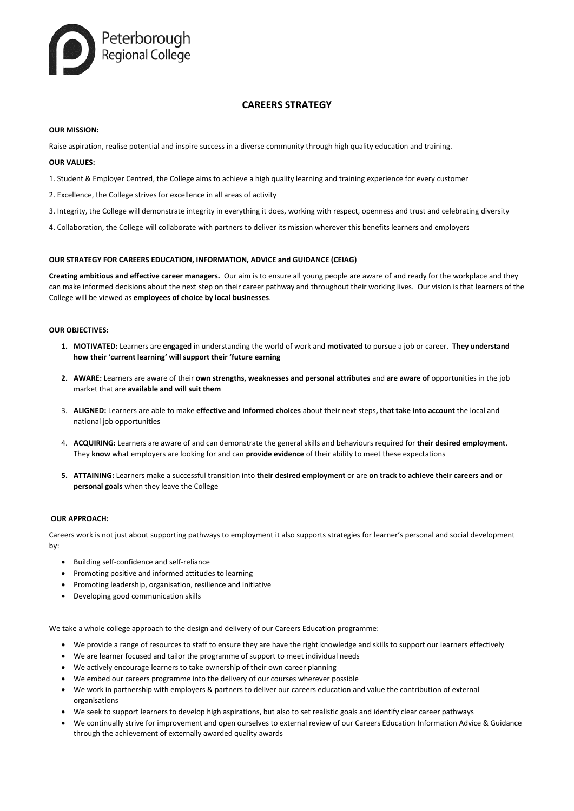

# **CAREERS STRATEGY**

## **OUR MISSION:**

Raise aspiration, realise potential and inspire success in a diverse community through high quality education and training.

# **OUR VALUES:**

- 1. Student & Employer Centred, the College aims to achieve a high quality learning and training experience for every customer
- 2. Excellence, the College strives for excellence in all areas of activity
- 3. Integrity, the College will demonstrate integrity in everything it does, working with respect, openness and trust and celebrating diversity
- 4. Collaboration, the College will collaborate with partners to deliver its mission wherever this benefits learners and employers

# **OUR STRATEGY FOR CAREERS EDUCATION, INFORMATION, ADVICE and GUIDANCE (CEIAG)**

**Creating ambitious and effective career managers.** Our aim is to ensure all young people are aware of and ready for the workplace and they can make informed decisions about the next step on their career pathway and throughout their working lives. Our vision is that learners of the College will be viewed as **employees of choice by local businesses**.

## **OUR OBJECTIVES:**

- **1. MOTIVATED:** Learners are **engaged** in understanding the world of work and **motivated** to pursue a job or career. **They understand how their 'current learning' will support their 'future earning**
- **2. AWARE:** Learners are aware of their **own strengths, weaknesses and personal attributes** and **are aware of** opportunities in the job market that are **available and will suit them**
- 3. **ALIGNED:** Learners are able to make **effective and informed choices** about their next steps**, that take into account** the local and national job opportunities
- 4. **ACQUIRING:** Learners are aware of and can demonstrate the general skills and behaviours required for **their desired employment**. They **know** what employers are looking for and can **provide evidence** of their ability to meet these expectations
- **5. ATTAINING:** Learners make a successful transition into **their desired employment** or are **on track to achieve their careers and or personal goals** when they leave the College

## **OUR APPROACH:**

Careers work is not just about supporting pathways to employment it also supports strategies for learner's personal and social development by:

- Building self-confidence and self-reliance
- Promoting positive and informed attitudes to learning
- Promoting leadership, organisation, resilience and initiative
- Developing good communication skills

We take a whole college approach to the design and delivery of our Careers Education programme:

- We provide a range of resources to staff to ensure they are have the right knowledge and skills to support our learners effectively
- We are learner focused and tailor the programme of support to meet individual needs
- We actively encourage learners to take ownership of their own career planning
- We embed our careers programme into the delivery of our courses wherever possible
- We work in partnership with employers & partners to deliver our careers education and value the contribution of external organisations
- We seek to support learners to develop high aspirations, but also to set realistic goals and identify clear career pathways
- We continually strive for improvement and open ourselves to external review of our Careers Education Information Advice & Guidance through the achievement of externally awarded quality awards